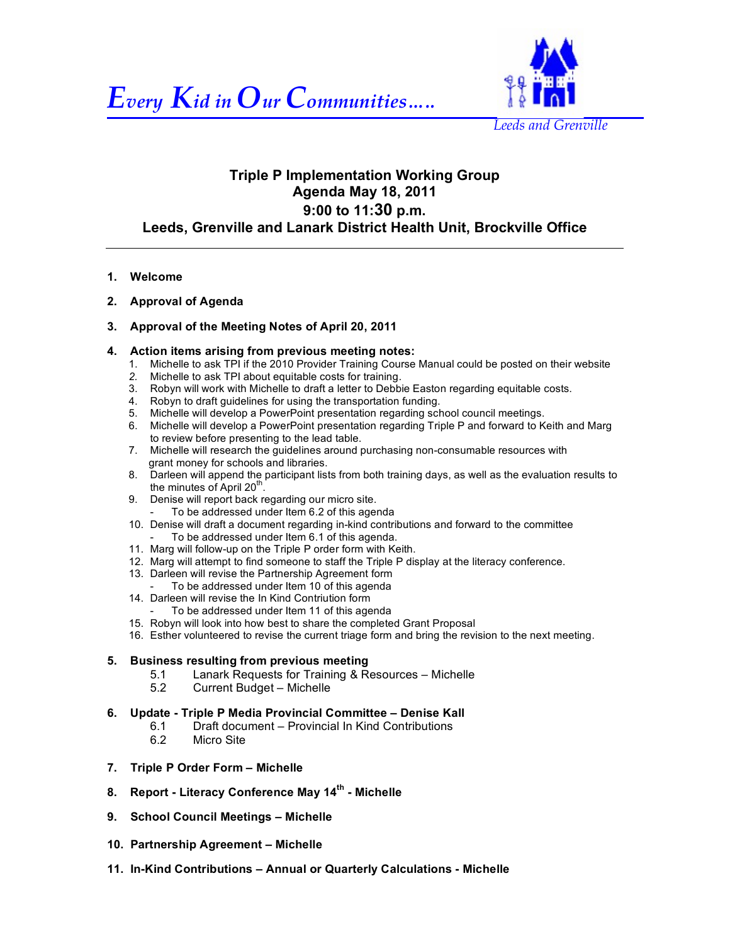



## **Triple P Implementation Working Group Agenda May 18, 2011 9:00 to 11:30 p.m. Leeds, Grenville and Lanark District Health Unit, Brockville Office**

- **1. Welcome**
- **2. Approval of Agenda**

## **3. Approval of the Meeting Notes of April 20, 2011**

- **4. Action items arising from previous meeting notes:**
	- 1. Michelle to ask TPI if the 2010 Provider Training Course Manual could be posted on their website
	- *2.* Michelle to ask TPI about equitable costs for training.
	- 3. Robyn will work with Michelle to draft a letter to Debbie Easton regarding equitable costs.
	- 4. Robyn to draft guidelines for using the transportation funding.
	- 5. Michelle will develop a PowerPoint presentation regarding school council meetings.
	- 6. Michelle will develop a PowerPoint presentation regarding Triple P and forward to Keith and Marg to review before presenting to the lead table.
	- 7. Michelle will research the guidelines around purchasing non-consumable resources with grant money for schools and libraries.
	- 8. Darleen will append the participant lists from both training days, as well as the evaluation results to the minutes of April  $20<sup>th</sup>$ .
	- 9. Denise will report back regarding our micro site. To be addressed under Item 6.2 of this agenda
	- 10. Denise will draft a document regarding in-kind contributions and forward to the committee - To be addressed under Item 6.1 of this agenda.
	- 11. Marg will follow-up on the Triple P order form with Keith.
	- 12. Marg will attempt to find someone to staff the Triple P display at the literacy conference.
	- 13. Darleen will revise the Partnership Agreement form
	- To be addressed under Item 10 of this agenda
	- 14. Darleen will revise the In Kind Contriution form
		- To be addressed under Item 11 of this agenda
	- 15. Robyn will look into how best to share the completed Grant Proposal
	- 16. Esther volunteered to revise the current triage form and bring the revision to the next meeting.

## **5. Business resulting from previous meeting**

- 5.1 Lanark Requests for Training & Resources Michelle<br>5.2 Current Budget Michelle
- 5.2 Current Budget Michelle
- **6. Update Triple P Media Provincial Committee Denise Kall**
	- 6.1 Draft document Provincial In Kind Contributions
	- 6.2 Micro Site
- **7. Triple P Order Form – Michelle**
- **8. Report - Literacy Conference May 14th Michelle**
- **9. School Council Meetings Michelle**
- **10. Partnership Agreement – Michelle**
- **11. In-Kind Contributions Annual or Quarterly Calculations - Michelle**